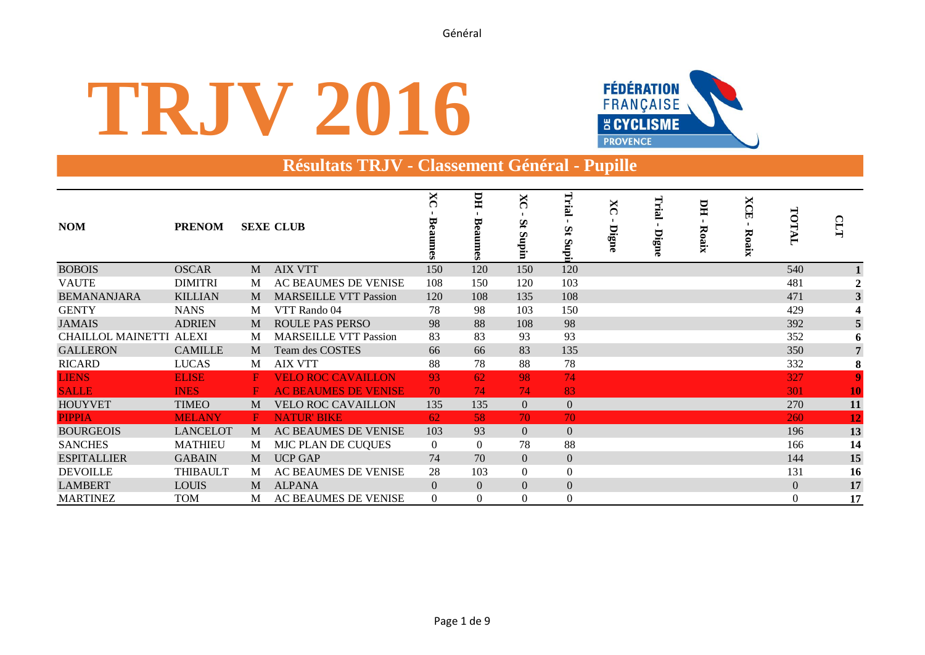# **TRJV 2016**



## **Résultats TRJV - Classement Général - Pupille**

| <b>NOM</b>                     | <b>PRENOM</b>   |              | <b>SEXE CLUB</b>             | $\overline{\text{X}}$<br>ϖ | HЦ<br>ದ<br>Š<br>G3 | ×<br>Št<br>undin<br>E | LL.<br>∽<br><b>idns</b> | ×<br>Digne | Trial<br>Digne | ЫI<br>Roaix | <b>XCE</b><br><b>Roaix</b> | TOTAL            | СLT                     |
|--------------------------------|-----------------|--------------|------------------------------|----------------------------|--------------------|-----------------------|-------------------------|------------|----------------|-------------|----------------------------|------------------|-------------------------|
| <b>BOBOIS</b>                  | <b>OSCAR</b>    | M            | <b>AIX VTT</b>               | 150                        | 120                | 150                   | 120                     |            |                |             |                            | 540              |                         |
| <b>VAUTE</b>                   | <b>DIMITRI</b>  | M            | AC BEAUMES DE VENISE         | 108                        | 150                | 120                   | 103                     |            |                |             |                            | 481              | $\overline{2}$          |
| <b>BEMANANJARA</b>             | <b>KILLIAN</b>  | M            | <b>MARSEILLE VTT Passion</b> | 120                        | 108                | 135                   | 108                     |            |                |             |                            | 471              | 3                       |
| <b>GENTY</b>                   | <b>NANS</b>     | M            | VTT Rando 04                 | 78                         | 98                 | 103                   | 150                     |            |                |             |                            | 429              | $\overline{\mathbf{4}}$ |
| <b>JAMAIS</b>                  | <b>ADRIEN</b>   | M            | <b>ROULE PAS PERSO</b>       | 98                         | 88                 | 108                   | 98                      |            |                |             |                            | 392              | 5                       |
| <b>CHAILLOL MAINETTI ALEXI</b> |                 | M            | <b>MARSEILLE VTT Passion</b> | 83                         | 83                 | 93                    | 93                      |            |                |             |                            | 352              | 6                       |
| <b>GALLERON</b>                | <b>CAMILLE</b>  | M            | Team des COSTES              | 66                         | 66                 | 83                    | 135                     |            |                |             |                            | 350              | 7                       |
| <b>RICARD</b>                  | <b>LUCAS</b>    | M            | <b>AIX VTT</b>               | 88                         | 78                 | 88                    | 78                      |            |                |             |                            | 332              | ${\bf 8}$               |
| <b>LIENS</b>                   | <b>ELISE</b>    | $\mathbf{F}$ | <b>VELO ROC CAVAILLON</b>    | 93                         | 62                 | 98                    | 74                      |            |                |             |                            | 327              | $\overline{9}$          |
| <b>SALLE</b>                   | <b>INES</b>     | F            | <b>AC BEAUMES DE VENISE</b>  | 70                         | 74                 | 74                    | 83                      |            |                |             |                            | 301              | 10                      |
| <b>HOUYVET</b>                 | <b>TIMEO</b>    | M            | <b>VELO ROC CAVAILLON</b>    | 135                        | 135                | $\overline{0}$        | $\mathbf{0}$            |            |                |             |                            | 270              | 11                      |
| <b>PIPPIA</b>                  | <b>MELANY</b>   | F            | <b>NATUR' BIKE</b>           | 62                         | 58                 | 70                    | 70                      |            |                |             |                            | 260              | 12                      |
| <b>BOURGEOIS</b>               | <b>LANCELOT</b> | M            | AC BEAUMES DE VENISE         | 103                        | 93                 | $\overline{0}$        | $\mathbf{0}$            |            |                |             |                            | 196              | 13                      |
| <b>SANCHES</b>                 | <b>MATHIEU</b>  | M            | MJC PLAN DE CUQUES           | $\Omega$                   | $\Omega$           | 78                    | 88                      |            |                |             |                            | 166              | 14                      |
| <b>ESPITALLIER</b>             | <b>GABAIN</b>   | M            | <b>UCP GAP</b>               | 74                         | 70                 | $\overline{0}$        | $\mathbf{0}$            |            |                |             |                            | 144              | 15                      |
| <b>DEVOILLE</b>                | <b>THIBAULT</b> | M            | AC BEAUMES DE VENISE         | 28                         | 103                | $\theta$              | $\mathbf{0}$            |            |                |             |                            | 131              | 16                      |
| <b>LAMBERT</b>                 | <b>LOUIS</b>    | M            | <b>ALPANA</b>                | $\overline{0}$             | $\Omega$           | $\Omega$              | $\mathbf{0}$            |            |                |             |                            | $\boldsymbol{0}$ | 17                      |
| <b>MARTINEZ</b>                | <b>TOM</b>      | М            | AC BEAUMES DE VENISE         | $\Omega$                   | $\Omega$           | $\Omega$              | $\mathbf{0}$            |            |                |             |                            | $\Omega$         | 17                      |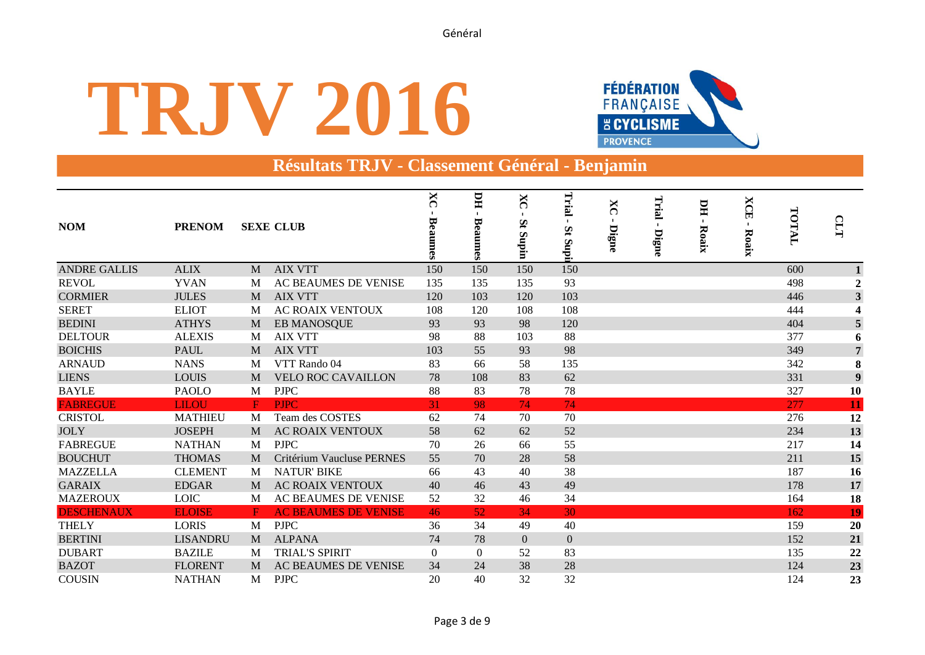# **TRJV 2016**



### **Résultats TRJV - Classement Général - Benjamin**

| <b>NOM</b>          | <b>PRENOM</b>   |             | <b>SEXE CLUB</b>            | $X_{C}$<br>Bea<br>umes | HС<br>Beaumes | X<br>౧<br>Št<br>Supin | Trial<br>$\mathbf{S}$<br>Supi | ×<br>౧<br>Digne | Trial<br>Digne | ЫU<br>$\mathbf{I}$<br>Roaix | <b>XCE</b><br>$\mathbf{I}$<br>Roaix | TOTAL | <b>CLTT</b>             |
|---------------------|-----------------|-------------|-----------------------------|------------------------|---------------|-----------------------|-------------------------------|-----------------|----------------|-----------------------------|-------------------------------------|-------|-------------------------|
| <b>ANDRE GALLIS</b> | <b>ALIX</b>     | M           | <b>AIX VTT</b>              | 150                    | 150           | 150                   | 150                           |                 |                |                             |                                     | 600   |                         |
| <b>REVOL</b>        | <b>YVAN</b>     | M           | AC BEAUMES DE VENISE        | 135                    | 135           | 135                   | 93                            |                 |                |                             |                                     | 498   | $\overline{2}$          |
| <b>CORMIER</b>      | <b>JULES</b>    | M           | <b>AIX VTT</b>              | 120                    | 103           | 120                   | 103                           |                 |                |                             |                                     | 446   | $\overline{\mathbf{3}}$ |
| <b>SERET</b>        | <b>ELIOT</b>    | M           | <b>AC ROAIX VENTOUX</b>     | 108                    | 120           | 108                   | 108                           |                 |                |                             |                                     | 444   | $\boldsymbol{A}$        |
| <b>BEDINI</b>       | <b>ATHYS</b>    | M           | <b>EB MANOSQUE</b>          | 93                     | 93            | 98                    | 120                           |                 |                |                             |                                     | 404   | $\overline{5}$          |
| <b>DELTOUR</b>      | <b>ALEXIS</b>   | M           | <b>AIX VTT</b>              | 98                     | 88            | 103                   | 88                            |                 |                |                             |                                     | 377   | 6                       |
| <b>BOICHIS</b>      | <b>PAUL</b>     | M           | <b>AIX VTT</b>              | 103                    | 55            | 93                    | 98                            |                 |                |                             |                                     | 349   | $\overline{7}$          |
| <b>ARNAUD</b>       | <b>NANS</b>     | M           | VTT Rando 04                | 83                     | 66            | 58                    | 135                           |                 |                |                             |                                     | 342   | 8                       |
| <b>LIENS</b>        | <b>LOUIS</b>    | M           | <b>VELO ROC CAVAILLON</b>   | 78                     | 108           | 83                    | 62                            |                 |                |                             |                                     | 331   | $\boldsymbol{9}$        |
| <b>BAYLE</b>        | <b>PAOLO</b>    | M           | <b>PJPC</b>                 | 88                     | 83            | 78                    | 78                            |                 |                |                             |                                     | 327   | 10                      |
| <b>FABREGUE</b>     | <b>LILOU</b>    | F           | <b>PJPC</b>                 | 31                     | 98            | 74                    | 74                            |                 |                |                             |                                     | 277   | 11                      |
| <b>CRISTOL</b>      | <b>MATHIEU</b>  | M           | Team des COSTES             | 62                     | 74            | 70                    | 70                            |                 |                |                             |                                     | 276   | 12                      |
| <b>JOLY</b>         | <b>JOSEPH</b>   | M           | <b>AC ROAIX VENTOUX</b>     | 58                     | 62            | 62                    | 52                            |                 |                |                             |                                     | 234   | 13                      |
| <b>FABREGUE</b>     | <b>NATHAN</b>   | M           | <b>PJPC</b>                 | 70                     | 26            | 66                    | 55                            |                 |                |                             |                                     | 217   | 14                      |
| <b>BOUCHUT</b>      | <b>THOMAS</b>   | M           | Critérium Vaucluse PERNES   | 55                     | 70            | 28                    | 58                            |                 |                |                             |                                     | 211   | 15                      |
| <b>MAZZELLA</b>     | <b>CLEMENT</b>  | M           | <b>NATUR' BIKE</b>          | 66                     | 43            | 40                    | 38                            |                 |                |                             |                                     | 187   | 16                      |
| <b>GARAIX</b>       | <b>EDGAR</b>    | M           | <b>AC ROAIX VENTOUX</b>     | 40                     | 46            | 43                    | 49                            |                 |                |                             |                                     | 178   | 17                      |
| <b>MAZEROUX</b>     | <b>LOIC</b>     | M           | AC BEAUMES DE VENISE        | 52                     | 32            | 46                    | 34                            |                 |                |                             |                                     | 164   | 18                      |
| <b>DESCHENAUX</b>   | <b>ELOISE</b>   | $\mathbf F$ | <b>AC BEAUMES DE VENISE</b> | 46                     | 52            | 34                    | 30                            |                 |                |                             |                                     | 162   | 19                      |
| <b>THELY</b>        | <b>LORIS</b>    | M           | <b>PJPC</b>                 | 36                     | 34            | 49                    | 40                            |                 |                |                             |                                     | 159   | 20                      |
| <b>BERTINI</b>      | <b>LISANDRU</b> | M           | <b>ALPANA</b>               | 74                     | 78            | $\mathbf{0}$          | $\boldsymbol{0}$              |                 |                |                             |                                     | 152   | 21                      |
| <b>DUBART</b>       | <b>BAZILE</b>   | M           | <b>TRIAL'S SPIRIT</b>       | $\Omega$               | $\Omega$      | 52                    | 83                            |                 |                |                             |                                     | 135   | 22                      |
| <b>BAZOT</b>        | <b>FLORENT</b>  | M           | AC BEAUMES DE VENISE        | 34                     | 24            | 38                    | 28                            |                 |                |                             |                                     | 124   | 23                      |
| <b>COUSIN</b>       | <b>NATHAN</b>   | M           | <b>PJPC</b>                 | 20                     | 40            | 32                    | 32                            |                 |                |                             |                                     | 124   | 23                      |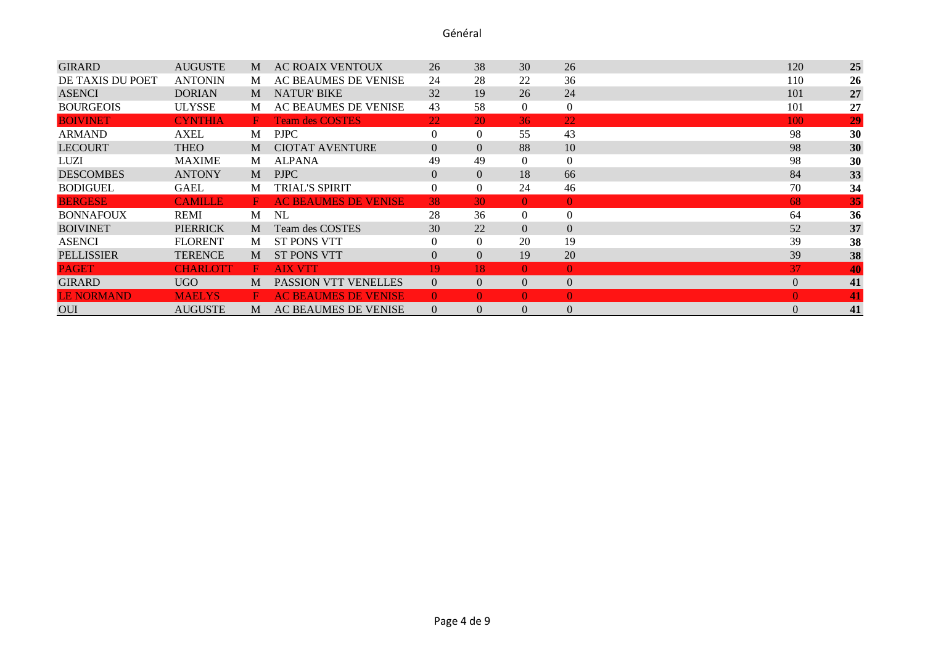| <b>GIRARD</b>     | <b>AUGUSTE</b>  | M  | <b>AC ROAIX VENTOUX</b>     | 26             | 38             | 30             | 26             | 120              | 25 |
|-------------------|-----------------|----|-----------------------------|----------------|----------------|----------------|----------------|------------------|----|
| DE TAXIS DU POET  | <b>ANTONIN</b>  | M  | AC BEAUMES DE VENISE        | 24             | 28             | 22             | 36             | 110              | 26 |
| <b>ASENCI</b>     | <b>DORIAN</b>   | M  | <b>NATUR' BIKE</b>          | 32             | 19             | 26             | 24             | 101              | 27 |
| <b>BOURGEOIS</b>  | <b>ULYSSE</b>   | M  | AC BEAUMES DE VENISE        | 43             | 58             | $\Omega$       | $\Omega$       | 101              | 27 |
| <b>BOIVINET</b>   | <b>CYNTHIA</b>  | н. | <b>Team des COSTES</b>      | 22             | 20             | 36             | 22             | 100              | 29 |
| <b>ARMAND</b>     | AXEL            | M  | <b>PJPC</b>                 | $\Omega$       | $\overline{0}$ | 55             | 43             | 98               | 30 |
| <b>LECOURT</b>    | <b>THEO</b>     | M  | <b>CIOTAT AVENTURE</b>      | $\overline{0}$ | $\overline{0}$ | 88             | 10             | 98               | 30 |
| LUZI              | <b>MAXIME</b>   | M  | <b>ALPANA</b>               | 49             | 49             | $\Omega$       | $\Omega$       | 98               | 30 |
| <b>DESCOMBES</b>  | <b>ANTONY</b>   | M  | <b>PJPC</b>                 | $\overline{0}$ | $\Omega$       | 18             | 66             | 84               | 33 |
| <b>BODIGUEL</b>   | <b>GAEL</b>     | M  | <b>TRIAL'S SPIRIT</b>       | $\Omega$       | $\Omega$       | 24             | 46             | 70               | 34 |
| <b>BERGESE</b>    | <b>CAMILLE</b>  | F. | <b>AC BEAUMES DE VENISE</b> | 38             | 30             | $\Omega$       | $\theta$       | 68               | 35 |
| <b>BONNAFOUX</b>  | <b>REMI</b>     | M  | NL                          | 28             | 36             | $\overline{0}$ | $\mathbf{0}$   | 64               | 36 |
| <b>BOIVINET</b>   | <b>PIERRICK</b> | M  | Team des COSTES             | 30             | 22             | $\Omega$       | $\overline{0}$ | 52               | 37 |
| <b>ASENCI</b>     | <b>FLORENT</b>  | M  | <b>ST PONS VTT</b>          | $\theta$       | $\Omega$       | 20             | 19             | 39               | 38 |
| <b>PELLISSIER</b> | <b>TERENCE</b>  | M  | <b>ST PONS VTT</b>          | $\Omega$       | $\Omega$       | 19             | 20             | 39               | 38 |
| <b>PAGET</b>      | <b>CHARLOTT</b> | F  | <b>AIX VTT</b>              | 19.            | 18             | $\Omega$       | $\theta$       | 37               | 40 |
| <b>GIRARD</b>     | UGO             | M  | <b>PASSION VTT VENELLES</b> | $\Omega$       | $\Omega$       | $\Omega$       | $\theta$       | $\overline{0}$   | 41 |
| <b>LE NORMAND</b> | <b>MAELYS</b>   | F  | <b>AC BEAUMES DE VENISE</b> | $\theta$       | $\Omega$       | $\Omega$       | $\theta$       | $\theta$         | 41 |
| <b>OUI</b>        | <b>AUGUSTE</b>  | M  | AC BEAUMES DE VENISE        | $\overline{0}$ | $\Omega$       | $\Omega$       | $\theta$       | $\boldsymbol{0}$ | 41 |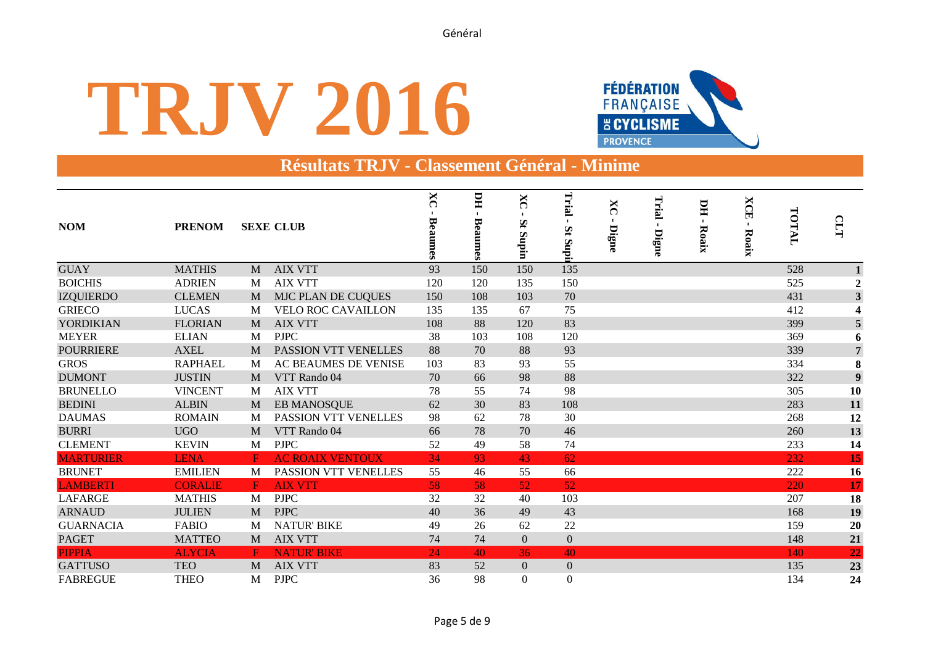# **TRJV 2016**



### **Résultats TRJV - Classement Général - Minime**

| <b>NOM</b>       | <b>PRENOM</b>  |              | <b>SEXE CLUB</b>          | $\overline{\text{X}}$<br>Bea<br>mmes | HI<br>$\blacksquare$<br>Beaumes | X<br>౧<br>Št<br>Supin | Trial<br>$\mathbf{S}$<br>IdnS | X<br>౧<br>Digne | Trial<br>$\blacksquare$<br>Digne | <b>DH</b><br>$\mathbf{I}$<br>Roaix | <b>XCE</b><br>$\blacksquare$<br>Roaix | TOTAL | CLT                     |
|------------------|----------------|--------------|---------------------------|--------------------------------------|---------------------------------|-----------------------|-------------------------------|-----------------|----------------------------------|------------------------------------|---------------------------------------|-------|-------------------------|
| <b>GUAY</b>      | <b>MATHIS</b>  | M            | <b>AIX VTT</b>            | 93                                   | 150                             | 150                   | 135                           |                 |                                  |                                    |                                       | 528   |                         |
| <b>BOICHIS</b>   | <b>ADRIEN</b>  | M            | <b>AIX VTT</b>            | 120                                  | 120                             | 135                   | 150                           |                 |                                  |                                    |                                       | 525   | $\overline{2}$          |
| <b>IZQUIERDO</b> | <b>CLEMEN</b>  | M            | MJC PLAN DE CUQUES        | 150                                  | 108                             | 103                   | 70                            |                 |                                  |                                    |                                       | 431   | $\overline{\mathbf{3}}$ |
| <b>GRIECO</b>    | <b>LUCAS</b>   | M            | <b>VELO ROC CAVAILLON</b> | 135                                  | 135                             | 67                    | 75                            |                 |                                  |                                    |                                       | 412   | $\boldsymbol{A}$        |
| YORDIKIAN        | <b>FLORIAN</b> | M            | <b>AIX VTT</b>            | 108                                  | 88                              | 120                   | 83                            |                 |                                  |                                    |                                       | 399   | $\overline{5}$          |
| <b>MEYER</b>     | <b>ELIAN</b>   | M            | <b>PJPC</b>               | 38                                   | 103                             | 108                   | 120                           |                 |                                  |                                    |                                       | 369   | 6                       |
| <b>POURRIERE</b> | <b>AXEL</b>    | M            | PASSION VTT VENELLES      | 88                                   | 70                              | 88                    | 93                            |                 |                                  |                                    |                                       | 339   | $\overline{7}$          |
| <b>GROS</b>      | <b>RAPHAEL</b> | M            | AC BEAUMES DE VENISE      | 103                                  | 83                              | 93                    | 55                            |                 |                                  |                                    |                                       | 334   | 8                       |
| <b>DUMONT</b>    | <b>JUSTIN</b>  | M            | VTT Rando 04              | 70                                   | 66                              | 98                    | 88                            |                 |                                  |                                    |                                       | 322   | $\boldsymbol{9}$        |
| <b>BRUNELLO</b>  | <b>VINCENT</b> | M            | <b>AIX VTT</b>            | 78                                   | 55                              | 74                    | 98                            |                 |                                  |                                    |                                       | 305   | 10                      |
| <b>BEDINI</b>    | <b>ALBIN</b>   | M            | <b>EB MANOSQUE</b>        | 62                                   | 30                              | 83                    | 108                           |                 |                                  |                                    |                                       | 283   | 11                      |
| <b>DAUMAS</b>    | <b>ROMAIN</b>  | M            | PASSION VTT VENELLES      | 98                                   | 62                              | 78                    | 30                            |                 |                                  |                                    |                                       | 268   | 12                      |
| <b>BURRI</b>     | <b>UGO</b>     | M            | VTT Rando 04              | 66                                   | 78                              | 70                    | 46                            |                 |                                  |                                    |                                       | 260   | 13                      |
| <b>CLEMENT</b>   | <b>KEVIN</b>   | M            | <b>PJPC</b>               | 52                                   | 49                              | 58                    | 74                            |                 |                                  |                                    |                                       | 233   | 14                      |
| <b>MARTURIER</b> | <b>LENA</b>    | $\mathbf F$  | <b>AC ROAIX VENTOUX</b>   | 34                                   | 93                              | 43                    | 62                            |                 |                                  |                                    |                                       | 232   | 15                      |
| <b>BRUNET</b>    | <b>EMILIEN</b> | M            | PASSION VTT VENELLES      | 55                                   | 46                              | 55                    | 66                            |                 |                                  |                                    |                                       | 222   | 16                      |
| <b>LAMBERTI</b>  | <b>CORALIE</b> | $\mathbf{F}$ | <b>AIX VTT</b>            | 58                                   | 58                              | 52                    | 52                            |                 |                                  |                                    |                                       | 220   | 17 <sup>1</sup>         |
| <b>LAFARGE</b>   | <b>MATHIS</b>  | M            | <b>PJPC</b>               | 32                                   | 32                              | 40                    | 103                           |                 |                                  |                                    |                                       | 207   | 18                      |
| <b>ARNAUD</b>    | <b>JULIEN</b>  | M            | <b>PJPC</b>               | 40                                   | 36                              | 49                    | 43                            |                 |                                  |                                    |                                       | 168   | 19                      |
| <b>GUARNACIA</b> | <b>FABIO</b>   | M            | <b>NATUR' BIKE</b>        | 49                                   | 26                              | 62                    | 22                            |                 |                                  |                                    |                                       | 159   | 20                      |
| <b>PAGET</b>     | <b>MATTEO</b>  | M            | <b>AIX VTT</b>            | 74                                   | 74                              | $\overline{0}$        | $\boldsymbol{0}$              |                 |                                  |                                    |                                       | 148   | 21                      |
| <b>PIPPIA</b>    | <b>ALYCIA</b>  | F            | <b>NATUR' BIKE</b>        | 24                                   | 40                              | 36                    | 40                            |                 |                                  |                                    |                                       | 140   | 22                      |
| <b>GATTUSO</b>   | <b>TEO</b>     | M            | <b>AIX VTT</b>            | 83                                   | 52                              | $\overline{0}$        | $\mathbf{0}$                  |                 |                                  |                                    |                                       | 135   | 23                      |
| <b>FABREGUE</b>  | <b>THEO</b>    | M            | <b>PJPC</b>               | 36                                   | 98                              | $\Omega$              | $\Omega$                      |                 |                                  |                                    |                                       | 134   | 24                      |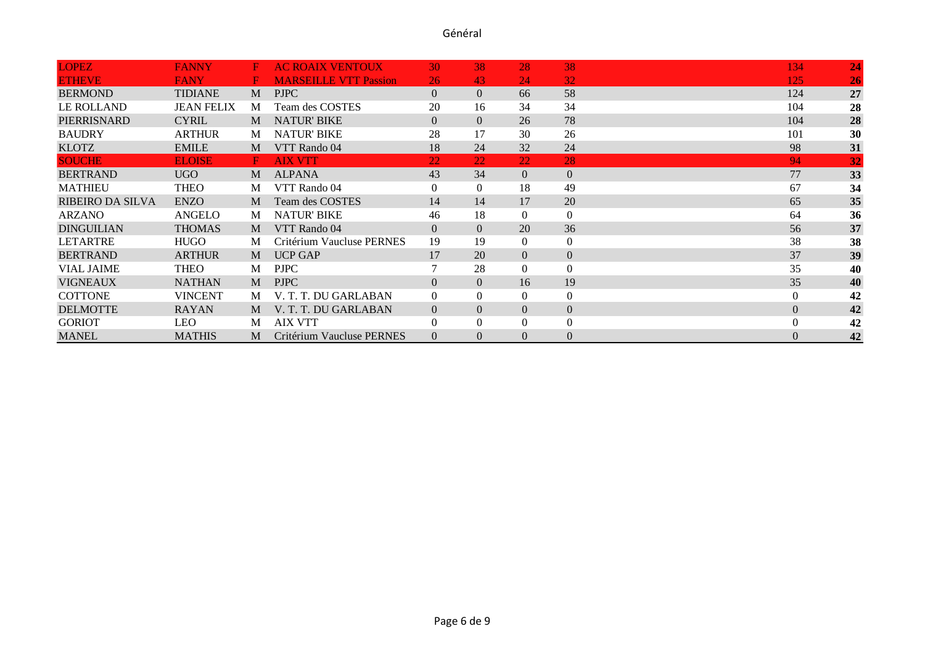| <b>LOPEZ</b>            | <b>FANNY</b>      | F. | <b>AC ROAIX VENTOUX</b>      | 30             | 38             | 28             | 38             | 134            | 24              |
|-------------------------|-------------------|----|------------------------------|----------------|----------------|----------------|----------------|----------------|-----------------|
| <b>ETHEVE</b>           | <b>FANY</b>       | н  | <b>MARSEILLE VTT Passion</b> | 26             | 43             | 24             | 32             | 125            | 26              |
| <b>BERMOND</b>          | <b>TIDIANE</b>    | M  | <b>PJPC</b>                  | $\Omega$       | $\Omega$       | 66             | 58             | 124            | 27              |
| <b>LE ROLLAND</b>       | <b>JEAN FELIX</b> | M  | Team des COSTES              | 20             | 16             | 34             | 34             | 104            | 28              |
| PIERRISNARD             | <b>CYRIL</b>      | M  | <b>NATUR' BIKE</b>           | $\Omega$       | $\Omega$       | 26             | 78             | 104            | 28              |
| <b>BAUDRY</b>           | <b>ARTHUR</b>     | M  | <b>NATUR' BIKE</b>           | 28             | 17             | 30             | 26             | 101            | 30              |
| <b>KLOTZ</b>            | <b>EMILE</b>      | M  | VTT Rando 04                 | 18             | 24             | 32             | 24             | 98             | 31              |
| <b>SOUCHE</b>           | <b>ELOISE</b>     | F  | <b>AIX VTT</b>               | 22             | 22             | 22             | 28             | 94             | $\overline{32}$ |
| <b>BERTRAND</b>         | UGO               | M  | <b>ALPANA</b>                | 43             | 34             | $\overline{0}$ | $\overline{0}$ | 77             | 33              |
| <b>MATHIEU</b>          | <b>THEO</b>       | M  | VTT Rando 04                 | $\Omega$       | $\Omega$       | 18             | 49             | 67             | 34              |
| <b>RIBEIRO DA SILVA</b> | <b>ENZO</b>       | M  | Team des COSTES              | 14             | 14             | 17             | 20             | 65             | 35              |
| <b>ARZANO</b>           | ANGELO            | M  | <b>NATUR' BIKE</b>           | 46             | 18             | $\Omega$       | $\mathbf{0}$   | 64             | 36              |
| <b>DINGUILIAN</b>       | <b>THOMAS</b>     | M  | VTT Rando 04                 | $\Omega$       | $\Omega$       | 20             | 36             | 56             | 37              |
| <b>LETARTRE</b>         | <b>HUGO</b>       | M  | Critérium Vaucluse PERNES    | 19             | 19             | $\Omega$       | $\mathbf{0}$   | 38             | 38              |
| <b>BERTRAND</b>         | <b>ARTHUR</b>     | M  | <b>UCP GAP</b>               | 17             | 20             | $\overline{0}$ | $\overline{0}$ | 37             | 39              |
| <b>VIAL JAIME</b>       | <b>THEO</b>       | M  | <b>PJPC</b>                  |                | 28             | $\Omega$       | $\mathbf{0}$   | 35             | 40              |
| <b>VIGNEAUX</b>         | <b>NATHAN</b>     | M  | <b>PJPC</b>                  | $\Omega$       | $\Omega$       | 16             | 19             | 35             | 40              |
| <b>COTTONE</b>          | <b>VINCENT</b>    | M  | V. T. T. DU GARLABAN         | $\Omega$       | $\Omega$       | $\Omega$       | $\mathbf{0}$   | $\overline{0}$ | 42              |
| <b>DELMOTTE</b>         | <b>RAYAN</b>      | M  | V. T. T. DU GARLABAN         | $\overline{0}$ | $\Omega$       | $\overline{0}$ | $\overline{0}$ | $\overline{0}$ | 42              |
| <b>GORIOT</b>           | <b>LEO</b>        | M  | <b>AIX VTT</b>               | $\Omega$       | $\Omega$       | $\Omega$       | $\theta$       | $\mathbf{0}$   | 42              |
| <b>MANEL</b>            | <b>MATHIS</b>     | M  | Critérium Vaucluse PERNES    | $\Omega$       | $\overline{0}$ | $\Omega$       | $\overline{0}$ | $\overline{0}$ | 42              |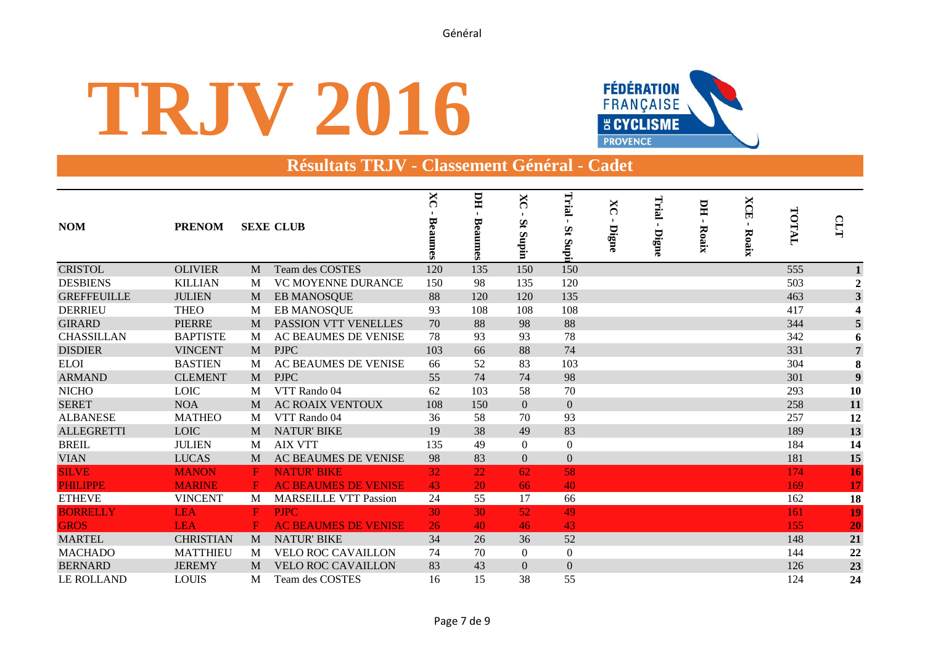# **TRJV 2016**



### **Résultats TRJV - Classement Général - Cadet**

| <b>NOM</b>         | <b>PRENOM</b>    |              | <b>SEXE CLUB</b>             | $X_{C}$<br>Bea<br>mes | ПU<br>Beaumes | X<br>౧<br>Št<br><b>Supin</b> | Trial<br>$\mathbf{S}$<br><b>Rupii</b> | X<br>∩<br>Digne | Trial<br>Digne | ЫI<br>$\mathbf{I}$<br>Roaix | <b>XCE</b><br>$\blacksquare$<br>Roaix | TOTAL | CLT                     |
|--------------------|------------------|--------------|------------------------------|-----------------------|---------------|------------------------------|---------------------------------------|-----------------|----------------|-----------------------------|---------------------------------------|-------|-------------------------|
| <b>CRISTOL</b>     | <b>OLIVIER</b>   | M            | Team des COSTES              | 120                   | 135           | 150                          | 150                                   |                 |                |                             |                                       | 555   |                         |
| <b>DESBIENS</b>    | <b>KILLIAN</b>   | M            | VC MOYENNE DURANCE           | 150                   | 98            | 135                          | 120                                   |                 |                |                             |                                       | 503   | $\overline{2}$          |
| <b>GREFFEUILLE</b> | <b>JULIEN</b>    | M            | EB MANOSQUE                  | 88                    | 120           | 120                          | 135                                   |                 |                |                             |                                       | 463   | $\overline{\mathbf{3}}$ |
| <b>DERRIEU</b>     | <b>THEO</b>      | M            | <b>EB MANOSQUE</b>           | 93                    | 108           | 108                          | 108                                   |                 |                |                             |                                       | 417   | $\boldsymbol{4}$        |
| <b>GIRARD</b>      | <b>PIERRE</b>    | M            | PASSION VTT VENELLES         | 70                    | 88            | 98                           | 88                                    |                 |                |                             |                                       | 344   | $\overline{\mathbf{5}}$ |
| <b>CHASSILLAN</b>  | <b>BAPTISTE</b>  | M            | AC BEAUMES DE VENISE         | 78                    | 93            | 93                           | 78                                    |                 |                |                             |                                       | 342   | 6                       |
| <b>DISDIER</b>     | <b>VINCENT</b>   | M            | <b>PJPC</b>                  | 103                   | 66            | 88                           | 74                                    |                 |                |                             |                                       | 331   | $\overline{7}$          |
| <b>ELOI</b>        | <b>BASTIEN</b>   | M            | AC BEAUMES DE VENISE         | 66                    | 52            | 83                           | 103                                   |                 |                |                             |                                       | 304   | 8                       |
| <b>ARMAND</b>      | <b>CLEMENT</b>   | M            | <b>PJPC</b>                  | 55                    | 74            | 74                           | 98                                    |                 |                |                             |                                       | 301   | 9                       |
| <b>NICHO</b>       | <b>LOIC</b>      | M            | VTT Rando 04                 | 62                    | 103           | 58                           | 70                                    |                 |                |                             |                                       | 293   | 10                      |
| <b>SERET</b>       | <b>NOA</b>       | M            | <b>AC ROAIX VENTOUX</b>      | 108                   | 150           | $\Omega$                     | $\mathbf{0}$                          |                 |                |                             |                                       | 258   | 11                      |
| <b>ALBANESE</b>    | <b>MATHEO</b>    | M            | VTT Rando 04                 | 36                    | 58            | 70                           | 93                                    |                 |                |                             |                                       | 257   | 12                      |
| <b>ALLEGRETTI</b>  | <b>LOIC</b>      | M            | <b>NATUR' BIKE</b>           | 19                    | 38            | 49                           | 83                                    |                 |                |                             |                                       | 189   | 13                      |
| <b>BREIL</b>       | <b>JULIEN</b>    | M            | <b>AIX VTT</b>               | 135                   | 49            | $\theta$                     | $\boldsymbol{0}$                      |                 |                |                             |                                       | 184   | 14                      |
| <b>VIAN</b>        | <b>LUCAS</b>     | M            | AC BEAUMES DE VENISE         | 98                    | 83            | $\Omega$                     | $\Omega$                              |                 |                |                             |                                       | 181   | 15                      |
| <b>SILVE</b>       | <b>MANON</b>     | $\mathbf{F}$ | <b>NATUR' BIKE</b>           | 32                    | 22            | 62                           | 58                                    |                 |                |                             |                                       | 174   | 16                      |
| <b>PHILIPPE</b>    | <b>MARINE</b>    | F.           | <b>AC BEAUMES DE VENISE</b>  | 43                    | 20            | 66                           | 40                                    |                 |                |                             |                                       | 169   | 17                      |
| <b>ETHEVE</b>      | <b>VINCENT</b>   | M            | <b>MARSEILLE VTT Passion</b> | 24                    | 55            | 17                           | 66                                    |                 |                |                             |                                       | 162   | 18                      |
| <b>BORRELLY</b>    | <b>LEA</b>       | $\mathbf{F}$ | <b>PJPC</b>                  | 30                    | 30            | 52                           | 49                                    |                 |                |                             |                                       | 161   | 19                      |
| <b>GROS</b>        | <b>LEA</b>       | F            | <b>AC BEAUMES DE VENISE</b>  | 26                    | 40            | 46                           | 43                                    |                 |                |                             |                                       | 155   | 20                      |
| <b>MARTEL</b>      | <b>CHRISTIAN</b> | M            | <b>NATUR' BIKE</b>           | 34                    | 26            | 36                           | 52                                    |                 |                |                             |                                       | 148   | 21                      |
| <b>MACHADO</b>     | <b>MATTHIEU</b>  | M            | <b>VELO ROC CAVAILLON</b>    | 74                    | 70            | $\theta$                     | $\boldsymbol{0}$                      |                 |                |                             |                                       | 144   | 22                      |
| <b>BERNARD</b>     | <b>JEREMY</b>    | M            | <b>VELO ROC CAVAILLON</b>    | 83                    | 43            | $\Omega$                     | $\boldsymbol{0}$                      |                 |                |                             |                                       | 126   | 23                      |
| <b>LE ROLLAND</b>  | <b>LOUIS</b>     | M            | Team des COSTES              | 16                    | 15            | 38                           | 55                                    |                 |                |                             |                                       | 124   | 24                      |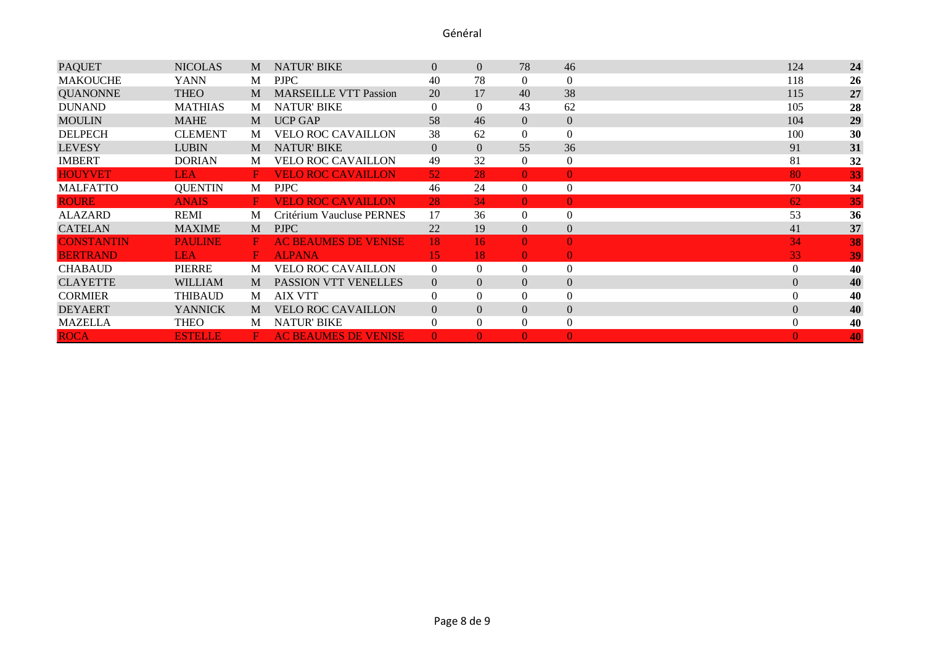| <b>PAQUET</b>     | <b>NICOLAS</b> | M              | <b>NATUR' BIKE</b>           | $\overline{0}$  | $\overline{0}$ | 78              | 46               | 124            | 24 |
|-------------------|----------------|----------------|------------------------------|-----------------|----------------|-----------------|------------------|----------------|----|
| <b>MAKOUCHE</b>   | <b>YANN</b>    | M              | <b>PJPC</b>                  | 40              | 78             | 0               | $\theta$         | 118            | 26 |
| <b>QUANONNE</b>   | <b>THEO</b>    | M              | <b>MARSEILLE VTT Passion</b> | 20              | 17             | 40              | 38               | 115            | 27 |
| <b>DUNAND</b>     | <b>MATHIAS</b> | M              | <b>NATUR' BIKE</b>           | $\Omega$        | $\Omega$       | 43              | 62               | 105            | 28 |
| <b>MOULIN</b>     | <b>MAHE</b>    | M              | <b>UCP GAP</b>               | 58              | 46             | $\overline{0}$  | $\mathbf{0}$     | 104            | 29 |
| <b>DELPECH</b>    | <b>CLEMENT</b> | M              | <b>VELO ROC CAVAILLON</b>    | 38              | 62             | $\Omega$        | $\theta$         | 100            | 30 |
| <b>LEVESY</b>     | <b>LUBIN</b>   | M              | <b>NATUR' BIKE</b>           | $\Omega$        | $\overline{0}$ | 55              | 36               | 91             | 31 |
| <b>IMBERT</b>     | <b>DORIAN</b>  | M              | <b>VELO ROC CAVAILLON</b>    | 49              | 32             | $\Omega$        | $\theta$         | 81             | 32 |
| <b>HOUYVET</b>    | <b>LEA</b>     | $\mathbf{F}$ . | <b>VELO ROC CAVAILLON</b>    | 52 <sub>2</sub> | 28             | $\Omega$        | $\Omega$         | 80             | 33 |
| <b>MALFATTO</b>   | <b>QUENTIN</b> | M              | <b>PJPC</b>                  | 46              | 24             | $\theta$        | $\theta$         | 70             | 34 |
| <b>ROURE</b>      | <b>ANAIS</b>   | F.             | <b>VELO ROC CAVAILLON</b>    | 28              | 34             | $\Omega$        | $\Omega$         | 62             | 35 |
| <b>ALAZARD</b>    | REMI           | M              | Critérium Vaucluse PERNES    | 17              | 36             | $\Omega$        | $\theta$         | 53             | 36 |
| <b>CATELAN</b>    | <b>MAXIME</b>  | M              | <b>PJPC</b>                  | 22              | 19             | $\Omega$        | $\mathbf{0}$     | 41             | 37 |
| <b>CONSTANTIN</b> | <b>PAULINE</b> | F.             | <b>AC BEAUMES DE VENISE</b>  | 18              | 16             | $\Omega$        | $\theta$         | 34             | 38 |
| <b>BERTRAND</b>   | <b>LEA</b>     | $\mathbf{F}$ . | <b>ALPANA</b>                | 15              | 18             | $\vert 0 \vert$ | $\Omega$         | 33             | 39 |
| <b>CHABAUD</b>    | PIERRE         | M              | <b>VELO ROC CAVAILLON</b>    | $\Omega$        | $\overline{0}$ | $\overline{0}$  | $\theta$         | $\overline{0}$ | 40 |
| <b>CLAYETTE</b>   | <b>WILLIAM</b> | M              | PASSION VTT VENELLES         | $\Omega$        | $\overline{0}$ | $\overline{0}$  | $\theta$         | $\mathbf{0}$   | 40 |
| <b>CORMIER</b>    | <b>THIBAUD</b> | M              | <b>AIX VTT</b>               | $\Omega$        | 0              | $\Omega$        | $\theta$         | $\overline{0}$ | 40 |
| <b>DEYAERT</b>    | <b>YANNICK</b> | M              | <b>VELO ROC CAVAILLON</b>    | $\overline{0}$  | $\Omega$       | $\overline{0}$  | $\overline{0}$   | $\overline{0}$ | 40 |
| <b>MAZELLA</b>    | <b>THEO</b>    | M              | <b>NATUR' BIKE</b>           | $\overline{0}$  | $\Omega$       | $\Omega$        | $\boldsymbol{0}$ | $\mathbf{0}$   | 40 |
| <b>ROCA</b>       | <b>ESTELLE</b> | н.             | <b>AC BEAUMES DE VENISE</b>  | $\mathbf{0}$    | $\Omega$       | $\Omega$        | $\theta$         | $\Omega$       | 40 |